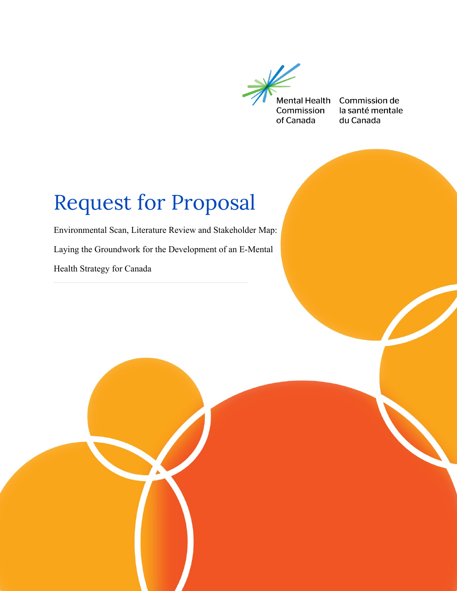

Commission de la santé mentale du Canada

# Request for Proposal

Environmental Scan, Literature Review and Stakeholder Map: Laying the Groundwork for the Development of an E-Mental Health Strategy for Canada

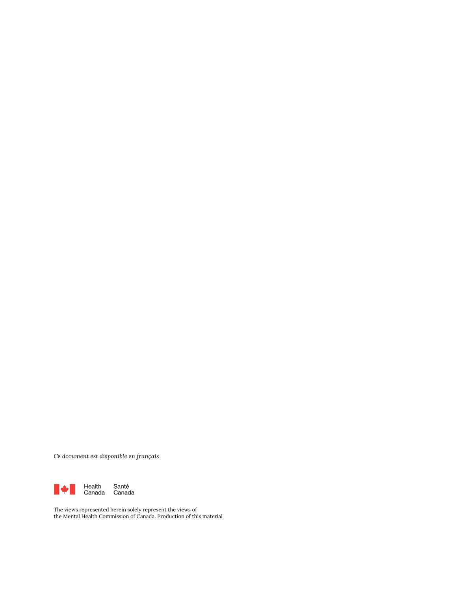*Ce document est disponible en français* 



The views represented herein solely represent the views of the Mental Health Commission of Canada. Production of this material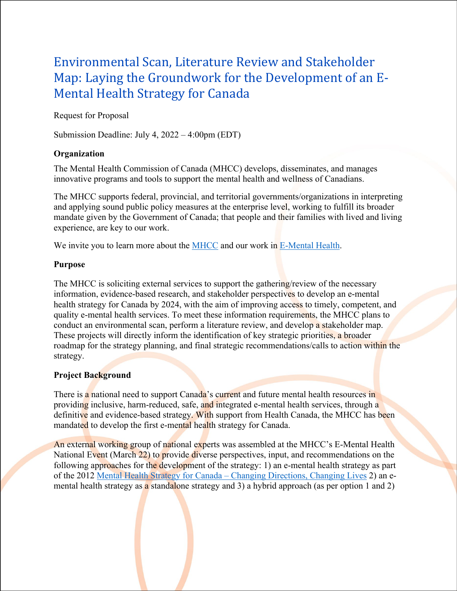# Environmental Scan, Literature Review and Stakeholder Map: Laying the Groundwork for the Development of an E-Mental Health Strategy for Canada

Request for Proposal

Submission Deadline: July 4, 2022 – 4:00pm (EDT)

# **Organization**

The Mental Health Commission of Canada (MHCC) develops, disseminates, and manages innovative programs and tools to support the mental health and wellness of Canadians.

The MHCC supports federal, provincial, and territorial governments/organizations in interpreting and applying sound public policy measures at the enterprise level, working to fulfill its broader mandate given by the Government of Canada; that people and their families with lived and living experience, are key to our work.

We invite you to learn more about the [MHCC](https://mentalhealthcommission.ca/about/) and our work in [E-Mental Health.](https://mentalhealthcommission.ca/what-we-do/e-mental-health/)

# **Purpose**

The MHCC is soliciting external services to support the gathering/review of the necessary information, evidence-based research, and stakeholder perspectives to develop an e-mental health strategy for Canada by 2024, with the aim of improving access to timely, competent, and quality e-mental health services. To meet these information requirements, the MHCC plans to conduct an environmental scan, perform a literature review, and develop a stakeholder map. These projects will directly inform the identification of key strategic priorities, a broader roadmap for the strategy planning, and final strategic recommendations/calls to action within the strategy.

# **Project Background**

There is a national need to support Canada's current and future mental health resources in providing inclusive, harm-reduced, safe, and integrated e-mental health services, through a definitive and evidence-based strategy. With support from Health Canada, the MHCC has been mandated to develop the first e-mental health strategy for Canada.

An external working group of national experts was assembled at the MHCC's E-Mental Health National Event (March 22) to provide diverse perspectives, input, and recommendations on the following approaches for the development of the strategy: 1) an e-mental health strategy as part of the 2012 [Mental Health Strategy for Canada – Changing Directions, Changing Lives](https://mentalhealthcommission.ca/what-we-do/mental-health-strategy-for-canada/) 2) an emental health strategy as a standalone strategy and 3) a hybrid approach (as per option 1 and 2)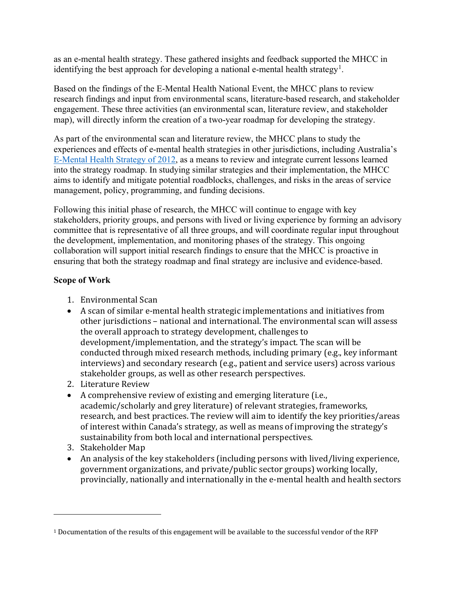as an e-mental health strategy. These gathered insights and feedback supported the MHCC in identifying the best approach for developing a national e-mental health strategy<sup>[1](#page-3-0)</sup>.

Based on the findings of the E-Mental Health National Event, the MHCC plans to review research findings and input from environmental scans, literature-based research, and stakeholder engagement. These three activities (an environmental scan, literature review, and stakeholder map), will directly inform the creation of a two-year roadmap for developing the strategy.

As part of the environmental scan and literature review, the MHCC plans to study the experiences and effects of e-mental health strategies in other jurisdictions, including Australia's [E-Mental Health Strategy of 2012,](https://www.mqhealth.org.au/__data/assets/pdf_file/0011/1010630/emstrat.pdf) as a means to review and integrate current lessons learned into the strategy roadmap. In studying similar strategies and their implementation, the MHCC aims to identify and mitigate potential roadblocks, challenges, and risks in the areas of service management, policy, programming, and funding decisions.

Following this initial phase of research, the MHCC will continue to engage with key stakeholders, priority groups, and persons with lived or living experience by forming an advisory committee that is representative of all three groups, and will coordinate regular input throughout the development, implementation, and monitoring phases of the strategy. This ongoing collaboration will support initial research findings to ensure that the MHCC is proactive in ensuring that both the strategy roadmap and final strategy are inclusive and evidence-based.

# **Scope of Work**

- 1. Environmental Scan
- A scan of similar e-mental health strategic implementations and initiatives from other jurisdictions – national and international. The environmental scan will assess the overall approach to strategy development, challenges to development/implementation, and the strategy's impact. The scan will be conducted through mixed research methods, including primary (e.g., key informant interviews) and secondary research (e.g., patient and service users) across various stakeholder groups, as well as other research perspectives.
- 2. Literature Review
- A comprehensive review of existing and emerging literature (i.e., academic/scholarly and grey literature) of relevant strategies, frameworks, research, and best practices. The review will aim to identify the key priorities/areas of interest within Canada's strategy, as well as means of improving the strategy's sustainability from both local and international perspectives.
- 3. Stakeholder Map
- An analysis of the key stakeholders (including persons with lived/living experience, government organizations, and private/public sector groups) working locally, provincially, nationally and internationally in the e-mental health and health sectors

<span id="page-3-0"></span><sup>1</sup> Documentation of the results of this engagement will be available to the successful vendor of the RFP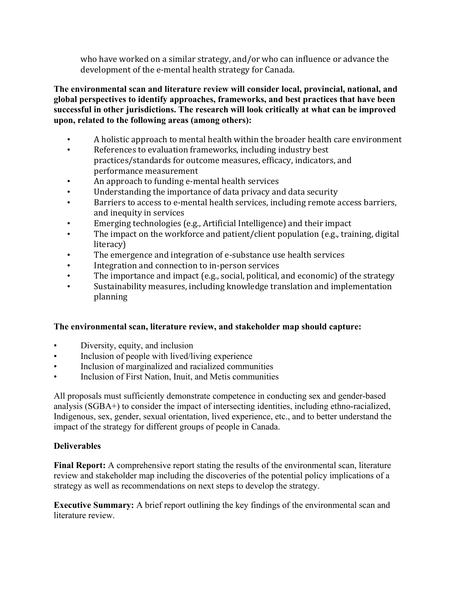who have worked on a similar strategy, and/or who can influence or advance the development of the e-mental health strategy for Canada.

**The environmental scan and literature review will consider local, provincial, national, and global perspectives to identify approaches, frameworks, and best practices that have been successful in other jurisdictions. The research will look critically at what can be improved upon, related to the following areas (among others):**

- A holistic approach to mental health within the broader health care environment<br>• References to evaluation frameworks, including industry hest
- References to evaluation frameworks, including industry best practices/standards for outcome measures, efficacy, indicators, and performance measurement
- An approach to funding e-mental health services
- Understanding the importance of data privacy and data security
- Barriers to access to e-mental health services, including remote access barriers, and inequity in services
- Emerging technologies (e.g., Artificial Intelligence) and their impact<br>• The impact on the workforce and patient (client population (e.g., trai
- The impact on the workforce and patient/client population (e.g., training, digital literacy)
- The emergence and integration of e-substance use health services<br>• Integration and connection to in-person services
- Integration and connection to in-person services
- The importance and impact (e.g., social, political, and economic) of the strategy
- Sustainability measures, including knowledge translation and implementation planning

# **The environmental scan, literature review, and stakeholder map should capture:**

- Diversity, equity, and inclusion
- Inclusion of people with lived/living experience
- Inclusion of marginalized and racialized communities
- Inclusion of First Nation, Inuit, and Metis communities

All proposals must sufficiently demonstrate competence in conducting sex and gender-based analysis (SGBA+) to consider the impact of intersecting identities, including ethno-racialized, Indigenous, sex, gender, sexual orientation, lived experience, etc., and to better understand the impact of the strategy for different groups of people in Canada.

# **Deliverables**

**Final Report:** A comprehensive report stating the results of the environmental scan, literature review and stakeholder map including the discoveries of the potential policy implications of a strategy as well as recommendations on next steps to develop the strategy.

**Executive Summary:** A brief report outlining the key findings of the environmental scan and literature review.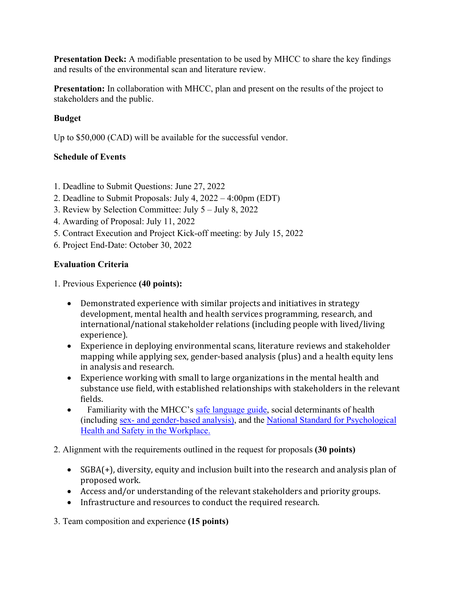**Presentation Deck:** A modifiable presentation to be used by MHCC to share the key findings and results of the environmental scan and literature review.

**Presentation:** In collaboration with MHCC, plan and present on the results of the project to stakeholders and the public.

# **Budget**

Up to \$50,000 (CAD) will be available for the successful vendor.

# **Schedule of Events**

- 1. Deadline to Submit Questions: June 27, 2022
- 2. Deadline to Submit Proposals: July 4, 2022 4:00pm (EDT)
- 3. Review by Selection Committee: July 5 July 8, 2022
- 4. Awarding of Proposal: July 11, 2022
- 5. Contract Execution and Project Kick-off meeting: by July 15, 2022
- 6. Project End-Date: October 30, 2022

# **Evaluation Criteria**

1. Previous Experience **(40 points):**

- Demonstrated experience with similar projects and initiatives in strategy development, mental health and health services programming, research, and international/national stakeholder relations (including people with lived/living experience).
- Experience in deploying environmental scans, literature reviews and stakeholder mapping while applying sex, gender-based analysis (plus) and a health equity lens in analysis and research.
- Experience working with small to large organizations in the mental health and substance use field, with established relationships with stakeholders in the relevant fields.
- Familiarity with the MHCC's [safe language guide, s](https://www.mhfa.ca/en/safer-language-reference-guide)ocial determinants of health (including [sex- and gender-based analysis\)](http://sgba-resource.ca/en/), and the [National Standard for Psychological](https://www.csagroup.org/article/cancsa-z1003-13-bnq-9700-803-2013-r2018/)  [Health and Safety](https://www.csagroup.org/article/cancsa-z1003-13-bnq-9700-803-2013-r2018/) in the Workplace.

# 2. Alignment with the requirements outlined in the request for proposals **(30 points)**

- SGBA(+), diversity, equity and inclusion built into the research and analysis plan of proposed work.
- Access and/or understanding of the relevant stakeholders and priority groups.
- Infrastructure and resources to conduct the required research.

3. Team composition and experience **(15 points)**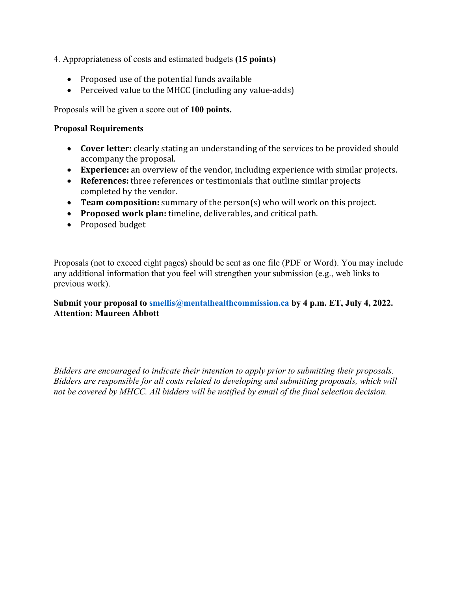- 4. Appropriateness of costs and estimated budgets **(15 points)** 
	- Proposed use of the potential funds available
	- Perceived value to the MHCC (including any value-adds)

Proposals will be given a score out of **100 points.**

#### **Proposal Requirements**

- **Cover letter**: clearly stating an understanding of the services to be provided should accompany the proposal.
- **Experience:** an overview of the vendor, including experience with similar projects.
- **References:** three references or testimonials that outline similar projects completed by the vendor.
- **Team composition:** summary of the person(s) who will work on this project.
- **Proposed work plan:** timeline, deliverables, and critical path.
- Proposed budget

Proposals (not to exceed eight pages) should be sent as one file (PDF or Word). You may include any additional information that you feel will strengthen your submission (e.g., web links to previous work).

# Submit your proposal to smellis@mentalhealthcommission.ca by 4 p.m. ET, July 4, 2022. **Attention: Maureen Abbott**

*Bidders are encouraged to indicate their intention to apply prior to submitting their proposals. Bidders are responsible for all costs related to developing and submitting proposals, which will not be covered by MHCC. All bidders will be notified by email of the final selection decision.*